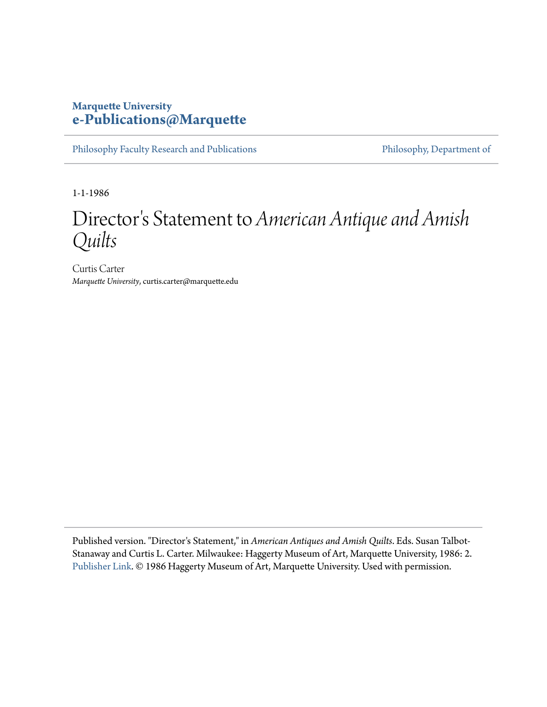### **Marquette University [e-Publications@Marquette](https://epublications.marquette.edu)**

[Philosophy Faculty Research and Publications](https://epublications.marquette.edu/phil_fac) [Philosophy, Department of](https://epublications.marquette.edu/philosophy)

1-1-1986

# Director 's Statement to *American Antique and Amish Quilts*

Curtis Carter *Marquette University*, curtis.carter@marquette.edu

Published version. "Director's Statement," in *American Antiques and Amish Quilts*. Eds. Susan Talbot-Stanaway and Curtis L. Carter. Milwaukee: Haggerty Museum of Art, Marquette University, 1986: 2. [Publisher Link](http://www.marquette.edu/haggerty/index.shtml). © 1986 Haggerty Museum of Art, Marquette University. Used with permission.